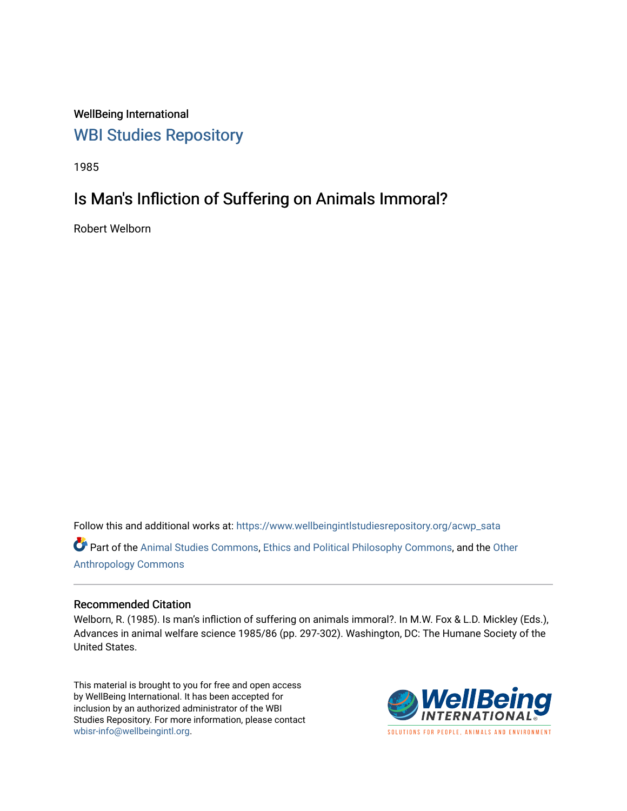WellBeing International [WBI Studies Repository](https://www.wellbeingintlstudiesrepository.org/)

1985

# Is Man's Infliction of Suffering on Animals Immoral?

Robert Welborn

Follow this and additional works at: [https://www.wellbeingintlstudiesrepository.org/acwp\\_sata](https://www.wellbeingintlstudiesrepository.org/acwp_sata?utm_source=www.wellbeingintlstudiesrepository.org%2Facwp_sata%2F3&utm_medium=PDF&utm_campaign=PDFCoverPages) Part of the [Animal Studies Commons,](http://network.bepress.com/hgg/discipline/1306?utm_source=www.wellbeingintlstudiesrepository.org%2Facwp_sata%2F3&utm_medium=PDF&utm_campaign=PDFCoverPages) [Ethics and Political Philosophy Commons,](http://network.bepress.com/hgg/discipline/529?utm_source=www.wellbeingintlstudiesrepository.org%2Facwp_sata%2F3&utm_medium=PDF&utm_campaign=PDFCoverPages) and the [Other](http://network.bepress.com/hgg/discipline/324?utm_source=www.wellbeingintlstudiesrepository.org%2Facwp_sata%2F3&utm_medium=PDF&utm_campaign=PDFCoverPages) [Anthropology Commons](http://network.bepress.com/hgg/discipline/324?utm_source=www.wellbeingintlstudiesrepository.org%2Facwp_sata%2F3&utm_medium=PDF&utm_campaign=PDFCoverPages)

## Recommended Citation

Welborn, R. (1985). Is man's infliction of suffering on animals immoral?. In M.W. Fox & L.D. Mickley (Eds.), Advances in animal welfare science 1985/86 (pp. 297-302). Washington, DC: The Humane Society of the United States.

This material is brought to you for free and open access by WellBeing International. It has been accepted for inclusion by an authorized administrator of the WBI Studies Repository. For more information, please contact [wbisr-info@wellbeingintl.org](mailto:wbisr-info@wellbeingintl.org).

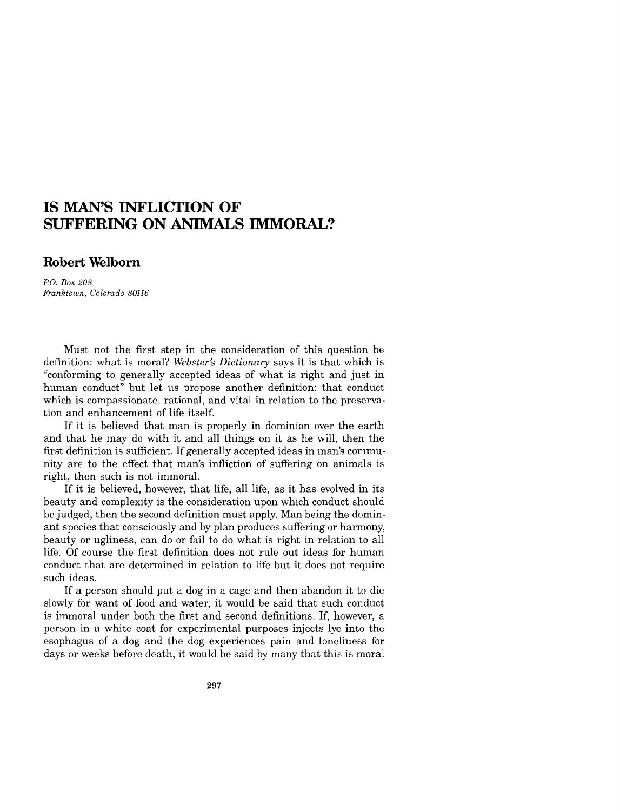# **IS MAN'S INFLICfiON OF SUFFERING ON ANIMALS IMMORAL?**

### **Robert Welborn**

*P.O. Box 208 Franktown, Colorado 80116* 

Must not the first step in the consideration of this question be definition: what is moral? *Webster's Dictionary* says it is that which is "conforming to generally accepted ideas of what is right and just in human conduct" but let us propose another definition: that conduct which is compassionate, rational, and vital in relation to the preservation and enhancement of life itself.

If it is believed that man is properly in dominion over the earth and that he may do with it and all things on it as he will, then the first definition is sufficient. If generally accepted ideas in man's community are to the effect that man's infliction of suffering on animals is right, then such is not immoral.

If it is believed, however, that life, all life, as it has evolved in its beauty and complexity is the consideration upon which conduct should be judged, then the second definition must apply. Man being the dominant species that consciously and by plan produces suffering or harmony, beauty or ugliness, can do or fail to do what is right in relation to all life. Of course the first definition does not rule out ideas for human conduct that are determined in relation to life but it does not require such ideas.

If a person should put a dog in a cage and then abandon it to die slowly for want of food and water, it would be said that such conduct is immoral under both the first and second definitions. If, however, a person in a white coat for experimental purposes injects lye into the esophagus of a dog and the dog experiences pain and loneliness for days or weeks before death, it would be said by many that this is moral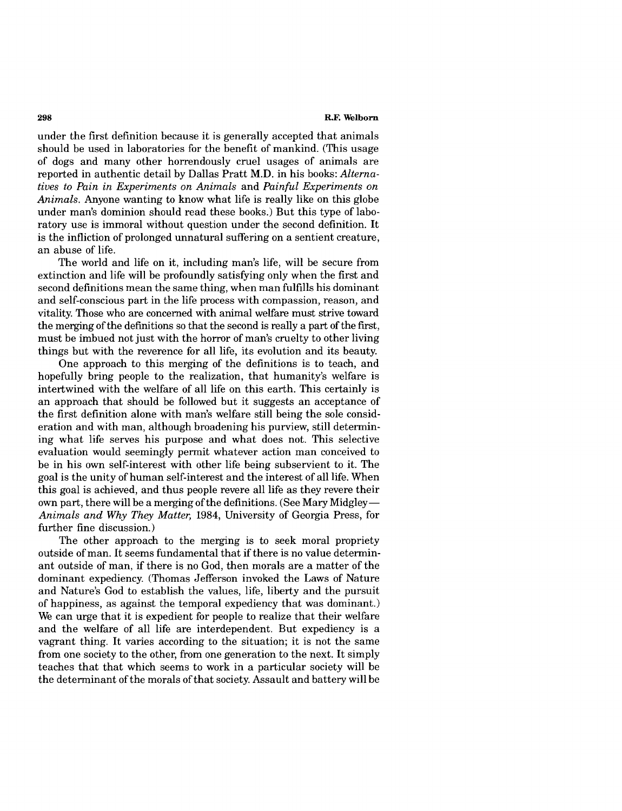under the first definition because it is generally accepted that animals should be used in laboratories for the benefit of mankind. (This usage of dogs and many other horrendously cruel usages of animals are reported in authentic detail by Dallas Pratt M.D. in his books: *Alternatives to Pain in Experiments on Animals* and *Painful Experiments on Animals.* Anyone wanting to know what life is really like on this globe under man's dominion should read these books.) But this type of laboratory use is immoral without question under the second definition. It is the infliction of prolonged unnatural suffering on a sentient creature, an abuse of life.

The world and life on it, including man's life, will be secure from extinction and life will be profoundly satisfying only when the first and second definitions mean the same thing, when man fulfills his dominant and self-conscious part in the life process with compassion, reason, and vitality. Those who are concerned with animal welfare must strive toward the merging of the definitions so that the second is really a part of the first, must be imbued not just with the horror of man's cruelty to other living things but with the reverence for all life, its evolution and its beauty.

One approach to this merging of the definitions is to teach, and hopefully bring people to the realization, that humanity's welfare is intertwined with the welfare of all life on this earth. This certainly is an approach that should be followed but it suggests an acceptance of the first definition alone with man's welfare still being the sole consideration and with man, although broadening his purview, still determining what life serves his purpose and what does not. This selective evaluation would seemingly permit whatever action man conceived to be in his own self-interest with other life being subservient to it. The goal is the unity of human self-interest and the interest of all life. When this goal is achieved, and thus people revere all life as they revere their own part, there will be a merging of the definitions. (See Mary Midgley-*Animals and Why They Matter,* 1984, University of Georgia Press, for further fine discussion.)

The other approach to the merging is to seek moral propriety outside of man. It seems fundamental that if there is no value determinant outside of man, if there is no God, then morals are a matter of the dominant expediency. (Thomas Jefferson invoked the Laws of Nature and Nature's God to establish the values, life, liberty and the pursuit of happiness, as against the temporal expediency that was dominant.) We can urge that it is expedient for people to realize that their welfare and the welfare of all life are interdependent. But expediency is a vagrant thing. It varies according to the situation; it is not the same from one society to the other, from one generation to the next. It simply teaches that that which seems to work in a particular society will be the determinant of the morals of that society. Assault and battery will be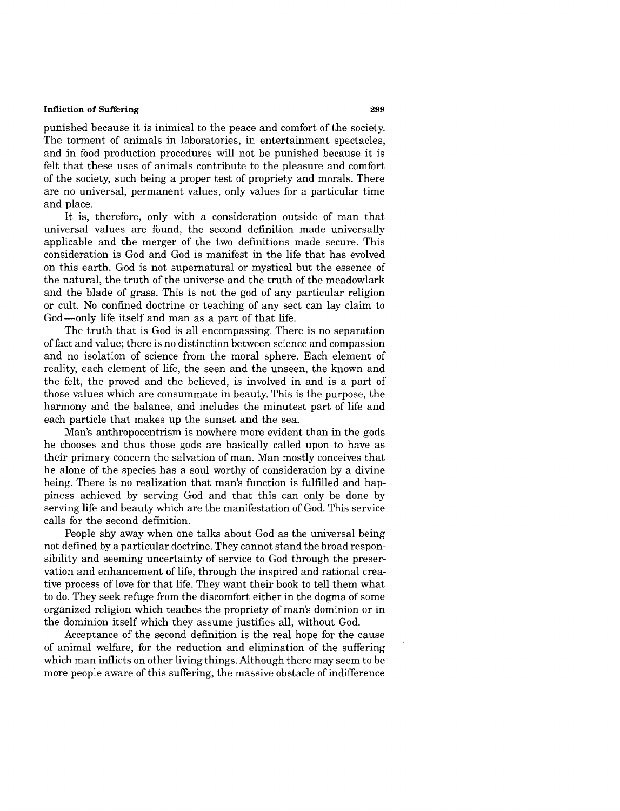#### Infliction of Suffering 299

punished because it is inimical to the peace and comfort of the society. The torment of animals in laboratories, in entertainment spectacles, and in food production procedures will not be punished because it is felt that these uses of animals contribute to the pleasure and comfort of the society, such being a proper test of propriety and morals. There are no universal, permanent values, only values for a particular time and place.

It is, therefore, only with a consideration outside of man that universal values are found, the second definition made universally applicable and the merger of the two definitions made secure. This consideration is God and God is manifest in the life that has evolved on this earth. God is not supernatural or mystical but the essence of the natural, the truth of the universe and the truth of the meadowlark and the blade of grass. This is not the god of any particular religion or cult. No confined doctrine or teaching of any sect can lay claim to God-only life itself and man as a part of that life.

The truth that is God is all encompassing. There is no separation offact and value; there is no distinction between science and compassion and no isolation of science from the moral sphere. Each element of reality, each element of life, the seen and the unseen, the known and the felt, the proved and the believed, is involved in and is a part of those values which are consummate in beauty. This is the purpose, the harmony and the balance, and includes the minutest part of life and each particle that makes up the sunset and the sea.

Man's anthropocentrism is nowhere more evident than in the gods he chooses and thus those gods are basically called upon to have as their primary concern the salvation of man. Man mostly conceives that he alone of the species has a soul worthy of consideration by a divine being. There is no realization that man's function is fulfilled and happiness achieved by serving God and that this can only be done by serving life and beauty which are the manifestation of God. This service calls for the second definition.

People shy away when one talks about God as the universal being not defined by a particular doctrine. They cannot stand the broad responsibility and seeming uncertainty of service to God through the preservation and enhancement of life, through the inspired and rational creative process of love for that life. They want their book to tell them what to do. They seek refuge from the discomfort either in the dogma of some organized religion which teaches the propriety of man's dominion or in the dominion itself which they assume justifies all, without God.

Acceptance of the second definition is the real hope for the cause of animal welfare, for the reduction and elimination of the suffering which man inflicts on other living things. Although there may seem to be more people aware of this suffering, the massive obstacle of indifference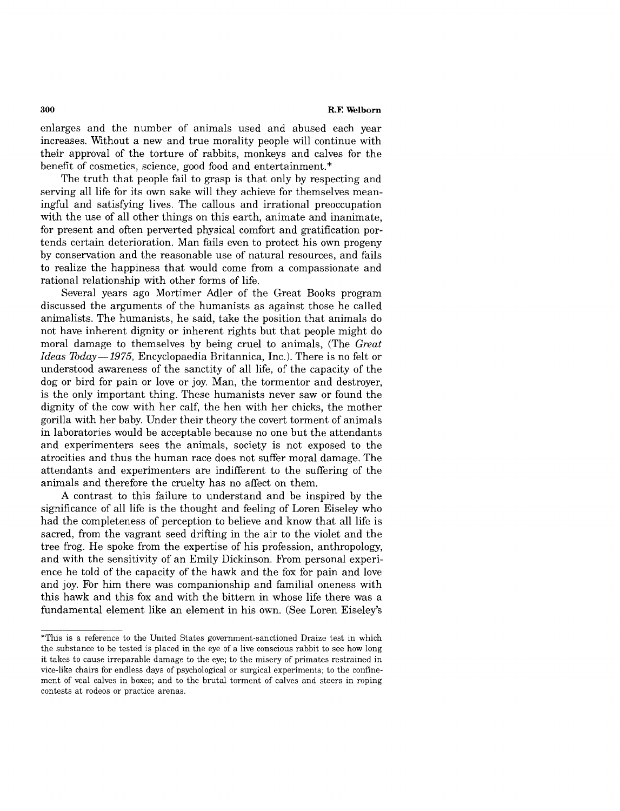enlarges and the number of animals used and abused each year increases. Without a new and true morality people will continue with their approval of the torture of rabbits, monkeys and calves for the benefit of cosmetics, science, good food and entertainment.\*

The truth that people fail to grasp is that only by respecting and serving all life for its own sake will they achieve for themselves meaningful and satisfying lives. The callous and irrational preoccupation with the use of all other things on this earth, animate and inanimate, for present and often perverted physical comfort and gratification portends certain deterioration. Man fails even to protect his own progeny by conservation and the reasonable use of natural resources, and fails to realize the happiness that would come from a compassionate and rational relationship with other forms of life.

Several years ago Mortimer Adler of the Great Books program discussed the arguments of the humanists as against those he called animalists. The humanists, he said, take the position that animals do not have inherent dignity or inherent rights but that people might do moral damage to themselves by being cruel to animals, (The *Great Ideas Tbday-1975,* Encyclopaedia Britannica, Inc.). There is no felt or understood awareness of the sanctity of all life, of the capacity of the dog or bird for pain or love or joy. Man, the tormentor and destroyer, is the only important thing. These humanists never saw or found the dignity of the cow with her calf, the hen with her chicks, the mother gorilla with her baby. Under their theory the covert torment of animals in laboratories would be acceptable because no one but the attendants and experimenters sees the animals, society is not exposed to the atrocities and thus the human race does not suffer moral damage. The attendants and experimenters are indifferent to the suffering of the animals and therefore the cruelty has no affect on them.

A contrast to this failure to understand and be inspired by the significance of all life is the thought and feeling of Loren Eiseley who had the completeness of perception to believe and know that all life is sacred, from the vagrant seed drifting in the air to the violet and the tree frog. He spoke from the expertise of his profession, anthropology, and with the sensitivity of an Emily Dickinson. From personal experience he told of the capacity of the hawk and the fox for pain and love and joy. For him there was companionship and familial oneness with this hawk and this fox and with the bittern in whose life there was a fundamental element like an element in his own. (See Loren Eiseley's

<sup>\*</sup>This is a reference to the United States government-sanctioned Draize test in which the substance to be tested is placed in the eye of a live conscious rabbit to see how long it takes to cause irreparable damage to the eye; to the misery of primates restrained in vice-like chairs for endless days of psychological or surgical experiments; to the confinement of veal calves in boxes; and to the brutal torment of calves and steers in roping contests at rodeos or practice arenas.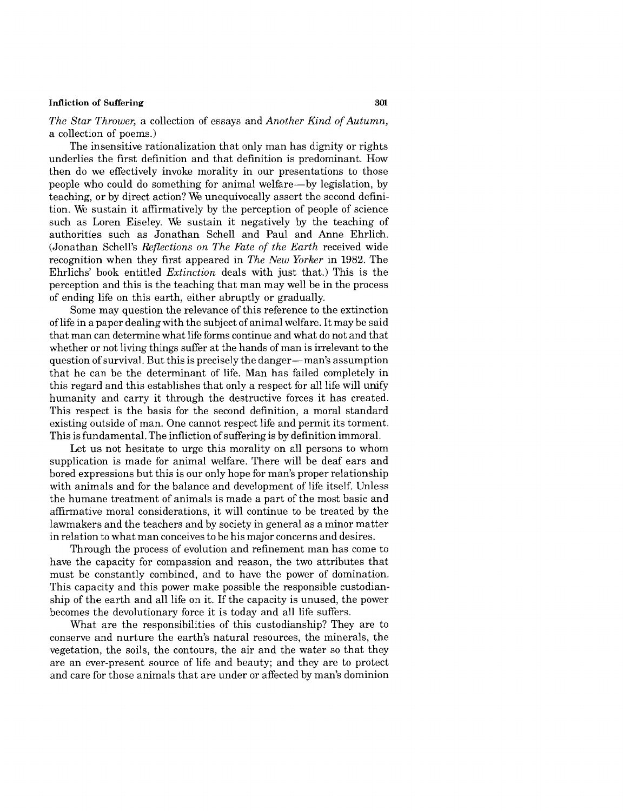#### Infliction of Suffering 301

*The Star Thrower,* a collection of essays and *Another Kind of Autumn,*  a collection of poems.)

The insensitive rationalization that only man has dignity or rights underlies the first definition and that definition is predominant. How then do we effectively invoke morality in our presentations to those people who could do something for animal welfare-by legislation, by teaching, or by direct action? We unequivocally assert the second definition. We sustain it affirmatively by the perception of people of science such as Loren Eiseley. We sustain it negatively by the teaching of authorities such as Jonathan Schell and Paul and Anne Ehrlich. (Jonathan Schell's *Reflections on The Fate of the Earth* received wide recognition when they first appeared in *The New Yorker* in 1982. The Ehrlichs' book entitled *Extinction* deals with just that.) This is the perception and this is the teaching that man may well be in the process of ending life on this earth, either abruptly or gradually.

Some may question the relevance of this reference to the extinction oflife in a paper dealing with the subject of animal welfare. It may be said that man can determine what life forms continue and what do not and that whether or not living things suffer at the hands of man is irrelevant to the question of survival. But this is precisely the danger-man's assumption that he can be the determinant of life. Man has failed completely in this regard and this establishes that only a respect for all life will unify humanity and carry it through the destructive forces it has created. This respect is the basis for the second definition, a moral standard existing outside of man. One cannot respect life and permit its torment. This is fundamental. The infliction of suffering is by definition immoral.

Let us not hesitate to urge this morality on all persons to whom supplication is made for animal welfare. There will be deaf ears and bored expressions but this is our only hope for man's proper relationship with animals and for the balance and development of life itself. Unless the humane treatment of animals is made a part of the most basic and affirmative moral considerations, it will continue to be treated by the lawmakers and the teachers and by society in general as a minor matter in relation to what man conceives to be his major concerns and desires.

Through the process of evolution and refinement man has come to have the capacity for compassion and reason, the two attributes that must be constantly combined, and to have the power of domination. This capacity and this power make possible the responsible custodianship of the earth and all life on it. If the capacity is unused, the power becomes the devolutionary force it is today and all life suffers.

What are the responsibilities of this custodianship? They are to conserve and nurture the earth's natural resources, the minerals, the vegetation, the soils, the contours, the air and the water so that they are an ever-present source of life and beauty; and they are to protect and care for those animals that are under or affected by man's dominion